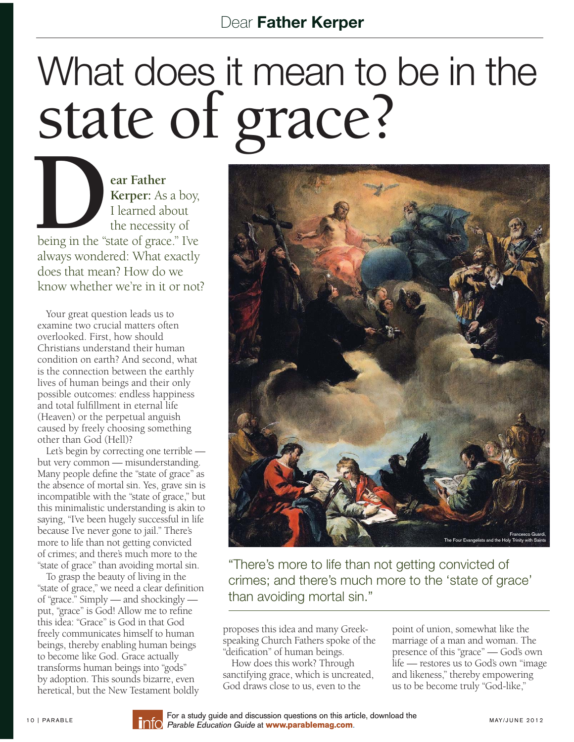## What does it mean to be in the

**DEALC**<br>
ear Father<br>
Kerper: As<br>
I learned ab<br>
the necessit **Kerper:** As a boy, I learned about the necessity of being in the "state of grace." I've always wondered: What exactly does that mean? How do we know whether we're in it or not?

Your great question leads us to examine two crucial matters often overlooked. First, how should Christians understand their human condition on earth? And second, what is the connection between the earthly lives of human beings and their only possible outcomes: endless happiness and total fulfillment in eternal life (Heaven) or the perpetual anguish caused by freely choosing something other than God (Hell)?

 Let's begin by correcting one terrible but very common — misunderstanding. Many people define the "state of grace" as the absence of mortal sin. Yes, grave sin is incompatible with the "state of grace," but this minimalistic understanding is akin to saying, "I've been hugely successful in life because I've never gone to jail." There's more to life than not getting convicted of crimes; and there's much more to the "state of grace" than avoiding mortal sin.

 To grasp the beauty of living in the "state of grace," we need a clear definition of "grace." Simply — and shockingly put, "grace" is God! Allow me to refine this idea: "Grace" is God in that God freely communicates himself to human beings, thereby enabling human beings to become like God. Grace actually transforms human beings into "gods" by adoption. This sounds bizarre, even heretical, but the New Testament boldly



"There's more to life than not getting convicted of crimes; and there's much more to the 'state of grace' than avoiding mortal sin."

proposes this idea and many Greekspeaking Church Fathers spoke of the "deification" of human beings.

 How does this work? Through sanctifying grace, which is uncreated, God draws close to us, even to the

point of union, somewhat like the marriage of a man and woman. The presence of this "grace" — God's own life — restores us to God's own "image and likeness," thereby empowering us to be become truly "God-like,"